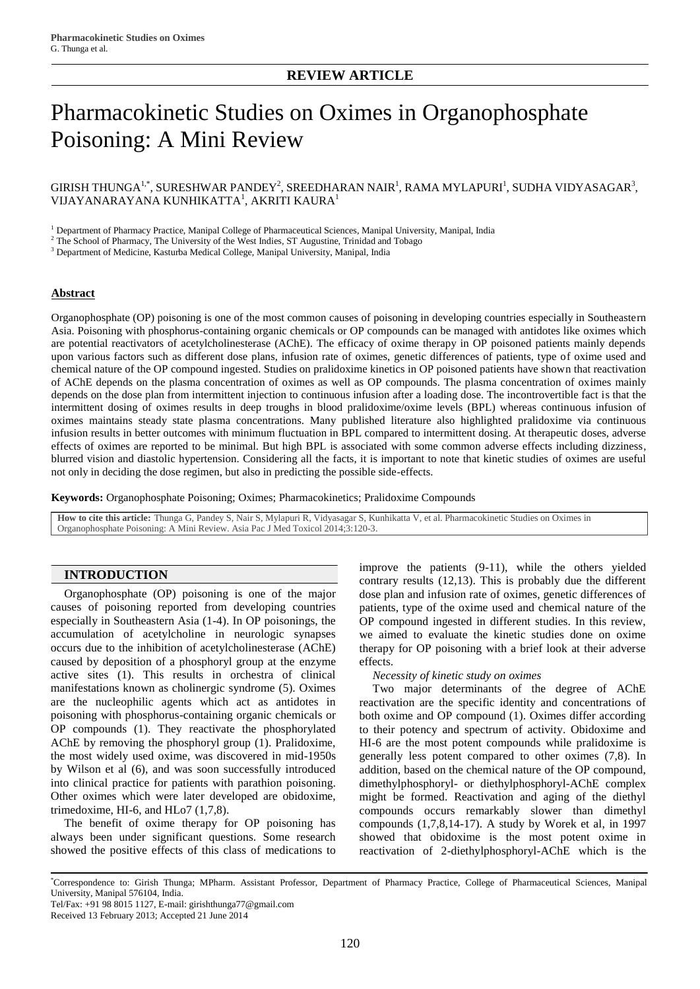# Pharmacokinetic Studies on Oximes in Organophosphate Poisoning: A Mini Review

# GIRISH THUNGA $^{1,*}$ , SURESHWAR PANDEY $^2$ , SREEDHARAN NAIR $^1$ , RAMA MYLAPURI $^1$ , SUDHA VIDYASAGAR $^3$ , VIJAYANARAYANA KUNHIKATTA $^{\rm l}$ , AKRITI KAURA $^{\rm l}$

<sup>1</sup> Department of Pharmacy Practice, Manipal College of Pharmaceutical Sciences, Manipal University, Manipal, India

<sup>2</sup> The School of Pharmacy, The University of the West Indies, ST Augustine, Trinidad and Tobago

<sup>3</sup> Department of Medicine, Kasturba Medical College, Manipal University, Manipal, India

#### **Abstract**

Organophosphate (OP) poisoning is one of the most common causes of poisoning in developing countries especially in Southeastern Asia. Poisoning with phosphorus-containing organic chemicals or OP compounds can be managed with antidotes like oximes which are potential reactivators of acetylcholinesterase (AChE). The efficacy of oxime therapy in OP poisoned patients mainly depends upon various factors such as different dose plans, infusion rate of oximes, genetic differences of patients, type of oxime used and chemical nature of the OP compound ingested. Studies on pralidoxime kinetics in OP poisoned patients have shown that reactivation of AChE depends on the plasma concentration of oximes as well as OP compounds. The plasma concentration of oximes mainly depends on the dose plan from intermittent injection to continuous infusion after a loading dose. The incontrovertible fact is that the intermittent dosing of oximes results in deep troughs in blood pralidoxime/oxime levels (BPL) whereas continuous infusion of oximes maintains steady state plasma concentrations. Many published literature also highlighted pralidoxime via continuous infusion results in better outcomes with minimum fluctuation in BPL compared to intermittent dosing. At therapeutic doses, adverse effects of oximes are reported to be minimal. But high BPL is associated with some common adverse effects including dizziness, blurred vision and diastolic hypertension. Considering all the facts, it is important to note that kinetic studies of oximes are useful not only in deciding the dose regimen, but also in predicting the possible side-effects.

**Keywords:** Organophosphate Poisoning; Oximes; Pharmacokinetics; Pralidoxime Compounds

**How to cite this article:** Thunga G, Pandey S, Nair S, Mylapuri R, Vidyasagar S, Kunhikatta V, et al. Pharmacokinetic Studies on Oximes in Organophosphate Poisoning: A Mini Review. Asia Pac J Med Toxicol 2014;3:120-3.

# **INTRODUCTION**

Organophosphate (OP) poisoning is one of the major causes of poisoning reported from developing countries especially in Southeastern Asia (1-4). In OP poisonings, the accumulation of acetylcholine in neurologic synapses occurs due to the inhibition of acetylcholinesterase (AChE) caused by deposition of a phosphoryl group at the enzyme active sites (1). This results in orchestra of clinical manifestations known as cholinergic syndrome (5). Oximes are the nucleophilic agents which act as antidotes in poisoning with phosphorus-containing organic chemicals or OP compounds (1). They reactivate the phosphorylated AChE by removing the phosphoryl group (1). Pralidoxime, the most widely used oxime, was discovered in mid-1950s by Wilson et al (6), and was soon successfully introduced into clinical practice for patients with parathion poisoning. Other oximes which were later developed are obidoxime, trimedoxime, HI-6, and HLo7  $(1,7,8)$ .

The benefit of oxime therapy for OP poisoning has always been under significant questions. Some research showed the positive effects of this class of medications to improve the patients (9-11), while the others yielded contrary results (12,13). This is probably due the different dose plan and infusion rate of oximes, genetic differences of patients, type of the oxime used and chemical nature of the OP compound ingested in different studies. In this review, we aimed to evaluate the kinetic studies done on oxime therapy for OP poisoning with a brief look at their adverse effects.

*Necessity of kinetic study on oximes*

Two major determinants of the degree of AChE reactivation are the specific identity and concentrations of both oxime and OP compound (1). Oximes differ according to their potency and spectrum of activity. Obidoxime and HI-6 are the most potent compounds while pralidoxime is generally less potent compared to other oximes (7,8). In addition, based on the chemical nature of the OP compound, dimethylphosphoryl- or diethylphosphoryl-AChE complex might be formed. Reactivation and aging of the diethyl compounds occurs remarkably slower than dimethyl compounds (1,7,8,14-17). A study by Worek et al, in 1997 showed that obidoxime is the most potent oxime in reactivation of 2-diethylphosphoryl-AChE which is the

<sup>\*</sup>Correspondence to: Girish Thunga; MPharm. Assistant Professor, Department of Pharmacy Practice, College of Pharmaceutical Sciences, Manipal University, Manipal 576104, India.

Tel/Fax: +91 98 8015 1127, E-mail: girishthunga77@gmail.com

Received 13 February 2013; Accepted 21 June 2014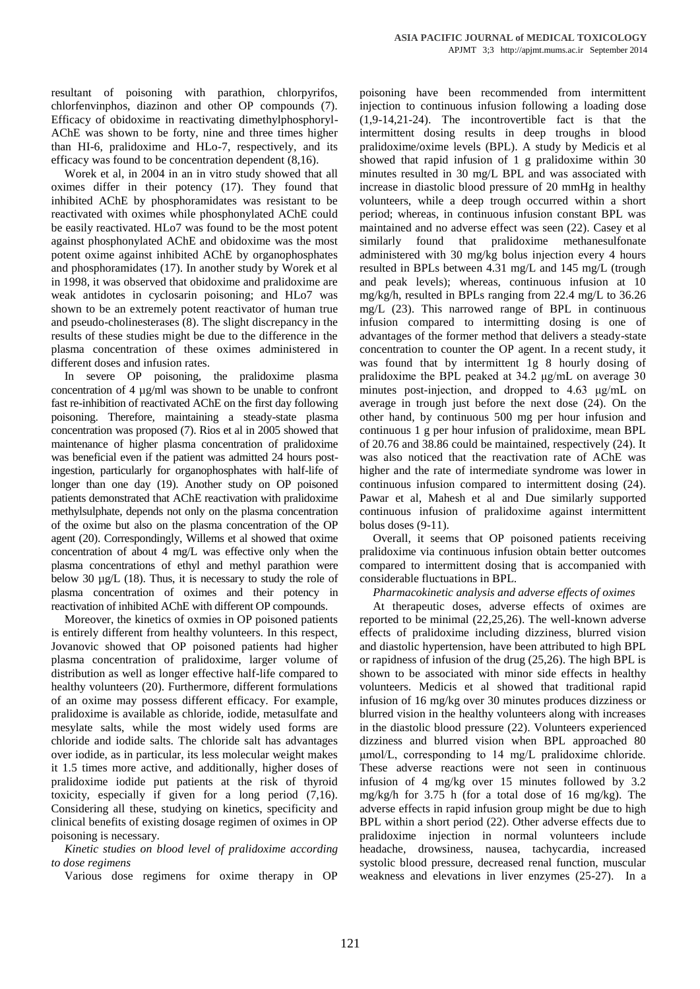resultant of poisoning with parathion, chlorpyrifos, chlorfenvinphos, diazinon and other OP compounds (7). Efficacy of obidoxime in reactivating dimethylphosphoryl-AChE was shown to be forty, nine and three times higher than HI-6, pralidoxime and HLo-7, respectively, and its efficacy was found to be concentration dependent (8,16).

Worek et al, in 2004 in an in vitro study showed that all oximes differ in their potency (17). They found that inhibited AChE by phosphoramidates was resistant to be reactivated with oximes while phosphonylated AChE could be easily reactivated. HLo7 was found to be the most potent against phosphonylated AChE and obidoxime was the most potent oxime against inhibited AChE by organophosphates and phosphoramidates (17). In another study by Worek et al in 1998, it was observed that obidoxime and pralidoxime are weak antidotes in cyclosarin poisoning; and HLo7 was shown to be an extremely potent reactivator of human true and pseudo-cholinesterases (8). The slight discrepancy in the results of these studies might be due to the difference in the plasma concentration of these oximes administered in different doses and infusion rates.

In severe OP poisoning, the pralidoxime plasma concentration of 4 µg/ml was shown to be unable to confront fast re-inhibition of reactivated AChE on the first day following poisoning. Therefore, maintaining a steady-state plasma concentration was proposed (7). Rios et al in 2005 showed that maintenance of higher plasma concentration of pralidoxime was beneficial even if the patient was admitted 24 hours postingestion, particularly for organophosphates with half-life of longer than one day (19). Another study on OP poisoned patients demonstrated that AChE reactivation with pralidoxime methylsulphate, depends not only on the plasma concentration of the oxime but also on the plasma concentration of the OP agent (20). Correspondingly, Willems et al showed that oxime concentration of about 4 mg/L was effective only when the plasma concentrations of ethyl and methyl parathion were below 30  $\mu$ g/L (18). Thus, it is necessary to study the role of plasma concentration of oximes and their potency in reactivation of inhibited AChE with different OP compounds.

Moreover, the kinetics of oxmies in OP poisoned patients is entirely different from healthy volunteers. In this respect, Jovanovic showed that OP poisoned patients had higher plasma concentration of pralidoxime, larger volume of distribution as well as longer effective half-life compared to healthy volunteers (20). Furthermore, different formulations of an oxime may possess different efficacy. For example, pralidoxime is available as chloride, iodide, metasulfate and mesylate salts, while the most widely used forms are chloride and iodide salts. The chloride salt has advantages over iodide, as in particular, its less molecular weight makes it 1.5 times more active, and additionally, higher doses of pralidoxime iodide put patients at the risk of thyroid toxicity, especially if given for a long period (7,16). Considering all these, studying on kinetics, specificity and clinical benefits of existing dosage regimen of oximes in OP poisoning is necessary.

*Kinetic studies on blood level of pralidoxime according to dose regimens*

Various dose regimens for oxime therapy in OP

poisoning have been recommended from intermittent injection to continuous infusion following a loading dose (1,9-14,21-24). The incontrovertible fact is that the intermittent dosing results in deep troughs in blood pralidoxime/oxime levels (BPL). A study by Medicis et al showed that rapid infusion of 1 g pralidoxime within 30 minutes resulted in 30 mg/L BPL and was associated with increase in diastolic blood pressure of 20 mmHg in healthy volunteers, while a deep trough occurred within a short period; whereas, in continuous infusion constant BPL was maintained and no adverse effect was seen (22). Casey et al similarly found that pralidoxime methanesulfonate administered with 30 mg/kg bolus injection every 4 hours resulted in BPLs between 4.31 mg/L and 145 mg/L (trough and peak levels); whereas, continuous infusion at 10 mg/kg/h, resulted in BPLs ranging from 22.4 mg/L to 36.26 mg/L (23). This narrowed range of BPL in continuous infusion compared to intermitting dosing is one of advantages of the former method that delivers a steady-state concentration to counter the OP agent. In a recent study, it was found that by intermittent 1g 8 hourly dosing of pralidoxime the BPL peaked at 34.2 μg/mL on average 30 minutes post-injection, and dropped to 4.63 μg/mL on average in trough just before the next dose (24). On the other hand, by continuous 500 mg per hour infusion and continuous 1 g per hour infusion of pralidoxime, mean BPL of 20.76 and 38.86 could be maintained, respectively (24). It was also noticed that the reactivation rate of AChE was higher and the rate of intermediate syndrome was lower in continuous infusion compared to intermittent dosing (24). Pawar et al, Mahesh et al and Due similarly supported continuous infusion of pralidoxime against intermittent bolus doses (9-11).

Overall, it seems that OP poisoned patients receiving pralidoxime via continuous infusion obtain better outcomes compared to intermittent dosing that is accompanied with considerable fluctuations in BPL.

*Pharmacokinetic analysis and adverse effects of oximes*

At therapeutic doses, adverse effects of oximes are reported to be minimal (22,25,26). The well-known adverse effects of pralidoxime including dizziness, blurred vision and diastolic hypertension, have been attributed to high BPL or rapidness of infusion of the drug (25,26). The high BPL is shown to be associated with minor side effects in healthy volunteers. Medicis et al showed that traditional rapid infusion of 16 mg/kg over 30 minutes produces dizziness or blurred vision in the healthy volunteers along with increases in the diastolic blood pressure (22). Volunteers experienced dizziness and blurred vision when BPL approached 80 μmol/L, corresponding to 14 mg/L pralidoxime chloride. These adverse reactions were not seen in continuous infusion of 4 mg/kg over 15 minutes followed by 3.2 mg/kg/h for 3.75 h (for a total dose of 16 mg/kg). The adverse effects in rapid infusion group might be due to high BPL within a short period (22). Other adverse effects due to pralidoxime injection in normal volunteers include headache, drowsiness, nausea, tachycardia, increased systolic blood pressure, decreased renal function, muscular weakness and elevations in liver enzymes (25-27). In a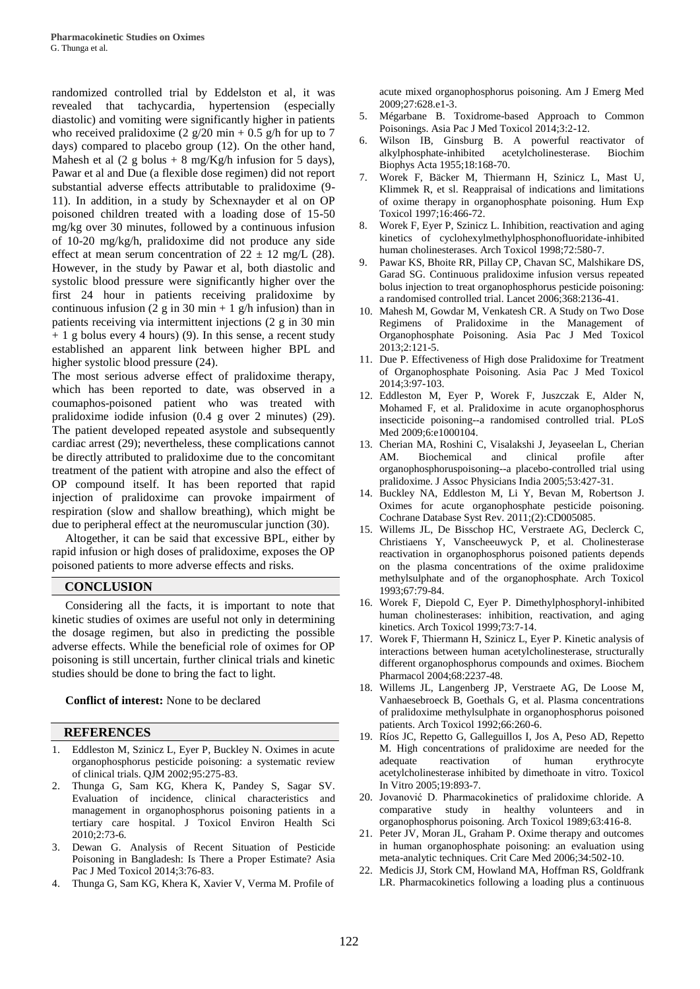randomized controlled trial by Eddelston et al, it was revealed that tachycardia, hypertension (especially diastolic) and vomiting were significantly higher in patients who received pralidoxime  $(2 \frac{g}{20} \text{ min} + 0.5 \frac{g}{\text{ min}})$  for up to 7 days) compared to placebo group (12). On the other hand, Mahesh et al  $(2 \text{ g bolus} + 8 \text{ mg/Kg/h}$  infusion for 5 days), Pawar et al and Due (a flexible dose regimen) did not report substantial adverse effects attributable to pralidoxime (9- 11). In addition, in a study by Schexnayder et al on OP poisoned children treated with a loading dose of 15-50 mg/kg over 30 minutes, followed by a continuous infusion of 10-20 mg/kg/h, pralidoxime did not produce any side effect at mean serum concentration of  $22 \pm 12$  mg/L (28). However, in the study by Pawar et al, both diastolic and systolic blood pressure were significantly higher over the first 24 hour in patients receiving pralidoxime by continuous infusion (2 g in 30 min + 1 g/h infusion) than in patients receiving via intermittent injections (2 g in 30 min  $+ 1$  g bolus every 4 hours) (9). In this sense, a recent study established an apparent link between higher BPL and higher systolic blood pressure (24).

The most serious adverse effect of pralidoxime therapy, which has been reported to date, was observed in a coumaphos-poisoned patient who was treated with pralidoxime iodide infusion (0.4 g over 2 minutes) (29). The patient developed repeated asystole and subsequently cardiac arrest (29); nevertheless, these complications cannot be directly attributed to pralidoxime due to the concomitant treatment of the patient with atropine and also the effect of OP compound itself. It has been reported that rapid injection of pralidoxime can provoke impairment of respiration (slow and shallow breathing), which might be due to peripheral effect at the neuromuscular junction (30).

Altogether, it can be said that excessive BPL, either by rapid infusion or high doses of pralidoxime, exposes the OP poisoned patients to more adverse effects and risks.

## **CONCLUSION**

Considering all the facts, it is important to note that kinetic studies of oximes are useful not only in determining the dosage regimen, but also in predicting the possible adverse effects. While the beneficial role of oximes for OP poisoning is still uncertain, further clinical trials and kinetic studies should be done to bring the fact to light.

#### **Conflict of interest:** None to be declared

## **REFERENCES**

- 1. Eddleston M, Szinicz L, Eyer P, Buckley N. Oximes in acute organophosphorus pesticide poisoning: a systematic review of clinical trials. QJM 2002;95:275-83.
- 2. Thunga G, Sam KG, Khera K, Pandey S, Sagar SV. Evaluation of incidence, clinical characteristics and management in organophosphorus poisoning patients in a tertiary care hospital. J Toxicol Environ Health Sci 2010;2:73-6.
- 3. Dewan G. Analysis of Recent Situation of Pesticide Poisoning in Bangladesh: Is There a Proper Estimate? Asia Pac J Med Toxicol 2014;3:76-83.
- 4. Thunga G, Sam KG, Khera K, Xavier V, Verma M. Profile of

acute mixed organophosphorus poisoning. Am J Emerg Med 2009;27:628.e1-3.

- 5. Mégarbane B. Toxidrome-based Approach to Common Poisonings. Asia Pac J Med Toxicol 2014;3:2-12.
- Wilson IB, Ginsburg B. A powerful reactivator of alkylphosphate-inhibited acetylcholinesterase. Biochim Biophys Acta 1955;18:168-70.
- 7. Worek F, Bäcker M, Thiermann H, Szinicz L, Mast U, Klimmek R, et sl. Reappraisal of indications and limitations of oxime therapy in organophosphate poisoning. Hum Exp Toxicol 1997;16:466-72.
- 8. Worek F, Eyer P, Szinicz L. Inhibition, reactivation and aging kinetics of cyclohexylmethylphosphonofluoridate-inhibited human cholinesterases. Arch Toxicol 1998;72:580-7.
- 9. Pawar KS, Bhoite RR, Pillay CP, Chavan SC, Malshikare DS, Garad SG. Continuous pralidoxime infusion versus repeated bolus injection to treat organophosphorus pesticide poisoning: a randomised controlled trial. Lancet 2006;368:2136-41.
- 10. Mahesh M, Gowdar M, Venkatesh CR. A Study on Two Dose Regimens of Pralidoxime in the Management of Organophosphate Poisoning. Asia Pac J Med Toxicol 2013;2:121-5.
- 11. Due P. Effectiveness of High dose Pralidoxime for Treatment of Organophosphate Poisoning. Asia Pac J Med Toxicol 2014;3:97-103.
- 12. Eddleston M, Eyer P, Worek F, Juszczak E, Alder N, Mohamed F, et al. Pralidoxime in acute organophosphorus insecticide poisoning--a randomised controlled trial. PLoS Med 2009;6:e1000104.
- 13. Cherian MA, Roshini C, Visalakshi J, Jeyaseelan L, Cherian AM. Biochemical and clinical profile after organophosphoruspoisoning--a placebo-controlled trial using pralidoxime. J Assoc Physicians India 2005;53:427-31.
- 14. Buckley NA, Eddleston M, Li Y, Bevan M, Robertson J. Oximes for acute organophosphate pesticide poisoning. Cochrane Database Syst Rev. 2011;(2):CD005085.
- 15. Willems JL, De Bisschop HC, Verstraete AG, Declerck C, Christiaens Y, Vanscheeuwyck P, et al. Cholinesterase reactivation in organophosphorus poisoned patients depends on the plasma concentrations of the oxime pralidoxime methylsulphate and of the organophosphate. Arch Toxicol 1993;67:79-84.
- 16. Worek F, Diepold C, Eyer P. Dimethylphosphoryl-inhibited human cholinesterases: inhibition, reactivation, and aging kinetics. Arch Toxicol 1999;73:7-14.
- 17. Worek F, Thiermann H, Szinicz L, Eyer P. Kinetic analysis of interactions between human acetylcholinesterase, structurally different organophosphorus compounds and oximes. Biochem Pharmacol 2004;68:2237-48.
- 18. Willems JL, Langenberg JP, Verstraete AG, De Loose M, Vanhaesebroeck B, Goethals G, et al. Plasma concentrations of pralidoxime methylsulphate in organophosphorus poisoned patients. Arch Toxicol 1992;66:260-6.
- 19. Ríos JC, Repetto G, Galleguillos I, Jos A, Peso AD, Repetto M. High concentrations of pralidoxime are needed for the adequate reactivation of human erythrocyte acetylcholinesterase inhibited by dimethoate in vitro. Toxicol In Vitro 2005;19:893-7.
- 20. Jovanović D. Pharmacokinetics of pralidoxime chloride. A comparative study in healthy volunteers and in organophosphorus poisoning. Arch Toxicol 1989;63:416-8.
- 21. Peter JV, Moran JL, Graham P. Oxime therapy and outcomes in human organophosphate poisoning: an evaluation using meta-analytic techniques. Crit Care Med 2006;34:502-10.
- 22. Medicis JJ, Stork CM, Howland MA, Hoffman RS, Goldfrank LR. Pharmacokinetics following a loading plus a continuous